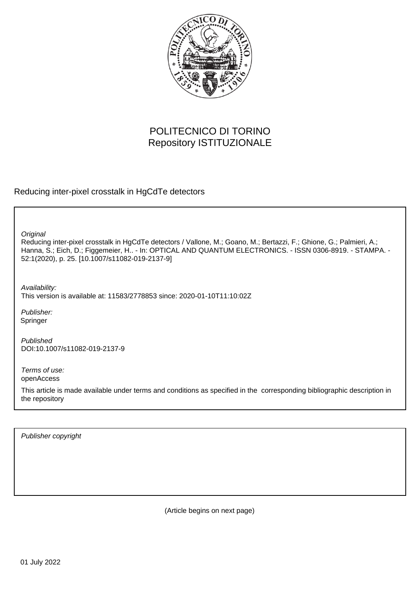

# POLITECNICO DI TORINO Repository ISTITUZIONALE

Reducing inter-pixel crosstalk in HgCdTe detectors

**Original** 

Reducing inter-pixel crosstalk in HgCdTe detectors / Vallone, M.; Goano, M.; Bertazzi, F.; Ghione, G.; Palmieri, A.; Hanna, S.; Eich, D.; Figgemeier, H.. - In: OPTICAL AND QUANTUM ELECTRONICS. - ISSN 0306-8919. - STAMPA. - 52:1(2020), p. 25. [10.1007/s11082-019-2137-9]

Availability: This version is available at: 11583/2778853 since: 2020-01-10T11:10:02Z

Publisher: Springer

Published DOI:10.1007/s11082-019-2137-9

Terms of use: openAccess

This article is made available under terms and conditions as specified in the corresponding bibliographic description in the repository

Publisher copyright

(Article begins on next page)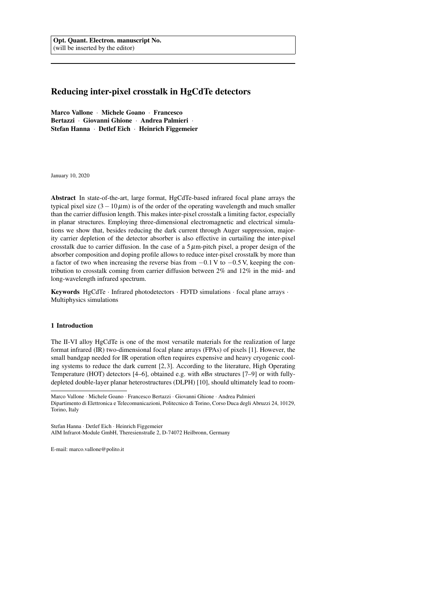## Reducing inter-pixel crosstalk in HgCdTe detectors

Marco Vallone · Michele Goano · Francesco Bertazzi · Giovanni Ghione · Andrea Palmieri · Stefan Hanna · Detlef Eich · Heinrich Figgemeier

January 10, 2020

Abstract In state-of-the-art, large format, HgCdTe-based infrared focal plane arrays the typical pixel size  $(3-10 \,\mu\text{m})$  is of the order of the operating wavelength and much smaller than the carrier diffusion length. This makes inter-pixel crosstalk a limiting factor, especially in planar structures. Employing three-dimensional electromagnetic and electrical simulations we show that, besides reducing the dark current through Auger suppression, majority carrier depletion of the detector absorber is also effective in curtailing the inter-pixel crosstalk due to carrier diffusion. In the case of a  $5 \mu$ m-pitch pixel, a proper design of the absorber composition and doping profile allows to reduce inter-pixel crosstalk by more than a factor of two when increasing the reverse bias from −0.1 V to −0.5 V, keeping the contribution to crosstalk coming from carrier diffusion between 2% and 12% in the mid- and long-wavelength infrared spectrum.

Keywords HgCdTe · Infrared photodetectors · FDTD simulations · focal plane arrays · Multiphysics simulations

### 1 Introduction

The II-VI alloy HgCdTe is one of the most versatile materials for the realization of large format infrared (IR) two-dimensional focal plane arrays (FPAs) of pixels [1]. However, the small bandgap needed for IR operation often requires expensive and heavy cryogenic cooling systems to reduce the dark current [2, 3]. According to the literature, High Operating Temperature (HOT) detectors [4–6], obtained e.g. with *n*B*n* structures [7–9] or with fullydepleted double-layer planar heterostructures (DLPH) [10], should ultimately lead to room-

Stefan Hanna · Detlef Eich · Heinrich Figgemeier AIM Infrarot-Module GmbH, Theresienstraße 2, D-74072 Heilbronn, Germany

E-mail: marco.vallone@polito.it

Marco Vallone · Michele Goano · Francesco Bertazzi · Giovanni Ghione · Andrea Palmieri Dipartimento di Elettronica e Telecomunicazioni, Politecnico di Torino, Corso Duca degli Abruzzi 24, 10129, Torino, Italy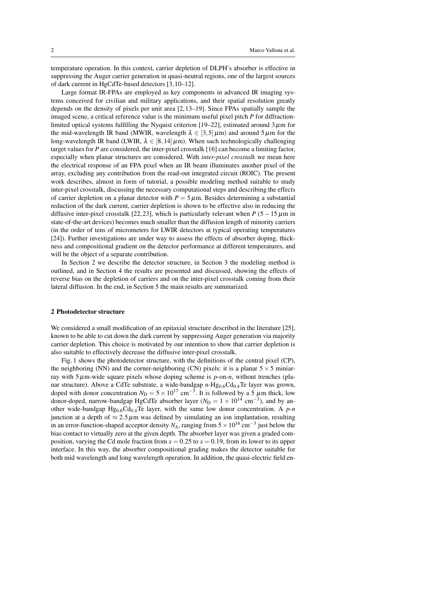temperature operation. In this context, carrier depletion of DLPH's absorber is effective in suppressing the Auger carrier generation in quasi-neutral regions, one of the largest sources of dark current in HgCdTe-based detectors [3, 10–12].

Large format IR-FPAs are employed as key components in advanced IR imaging systems conceived for civilian and military applications, and their spatial resolution greatly depends on the density of pixels per unit area [2, 13–19]. Since FPAs spatially sample the imaged scene, a critical reference value is the minimum useful pixel pitch *P* for diffractionlimited optical systems fulfilling the Nyquist criterion [19–22], estimated around  $3 \mu$ m for the mid-wavelength IR band (MWIR, wavelength  $\lambda \in [3,5]$  µm) and around  $5 \mu$ m for the long-wavelength IR band (LWIR,  $\lambda \in [8,14]\,\mu\text{m}$ ). When such technologically challenging target values for *P* are considered, the inter-pixel crosstalk [16] can become a limiting factor, especially when planar structures are considered. With *inter-pixel crosstalk* we mean here the electrical response of an FPA pixel when an IR beam illuminates another pixel of the array, excluding any contribution from the read-out integrated circuit (ROIC). The present work describes, almost in form of tutorial, a possible modeling method suitable to study inter-pixel crosstalk, discussing the necessary computational steps and describing the effects of carrier depletion on a planar detector with  $P = 5 \mu$ m. Besides determining a substantial reduction of the dark current, carrier depletion is shown to be effective also in reducing the diffusive inter-pixel crosstalk [22, 23], which is particularly relevant when  $P(5 - 15 \mu m)$  in state-of-the-art devices) becomes much smaller than the diffusion length of minority carriers (in the order of tens of micrometers for LWIR detectors at typical operating temperatures [24]). Further investigations are under way to assess the effects of absorber doping, thickness and compositional gradient on the detector performance at different temperatures, and will be the object of a separate contribution.

In Section 2 we describe the detector structure, in Section 3 the modeling method is outlined, and in Section 4 the results are presented and discussed, showing the effects of reverse bias on the depletion of carriers and on the inter-pixel crosstalk coming from their lateral diffusion. In the end, in Section 5 the main results are summarized.

#### 2 Photodetector structure

We considered a small modification of an epitaxial structure described in the literature [25], known to be able to cut down the dark current by suppressing Auger generation via majority carrier depletion. This choice is motivated by our intention to show that carrier depletion is also suitable to effectively decrease the diffusive inter-pixel crosstalk.

Fig. 1 shows the photodetector structure, with the definitions of the central pixel (CP), the neighboring (NN) and the corner-neighboring (CN) pixels: it is a planar  $5 \times 5$  miniarray with 5µm-wide square pixels whose doping scheme is *p*-on-*n*, without trenches (planar structure). Above a CdTe substrate, a wide-bandgap  $n-Hg_{0.6}Cd_{0.4}Te$  layer was grown, doped with donor concentration  $N_D = 5 \times 10^{17}$  cm<sup>-3</sup>. It is followed by a 5  $\mu$ m thick, low donor-doped, narrow-bandgap HgCdTe absorber layer ( $N_D = 1 \times 10^{14}$  cm<sup>-3</sup>), and by another wide-bandgap  $Hg_{0.6}Cd_{0.4}Te$  layer, with the same low donor concentration. A  $p$ -*n* junction at a depth of  $\approx 2.5 \mu$ m was defined by simulating an ion implantation, resulting in an error-function-shaped acceptor density  $N_A$ , ranging from  $5 \times 10^{16}$  cm<sup>-3</sup> just below the bias contact to virtually zero at the given depth. The absorber layer was given a graded composition, varying the Cd mole fraction from  $x = 0.25$  to  $x = 0.19$ , from its lower to its upper interface. In this way, the absorber compositional grading makes the detector suitable for both mid wavelength and long wavelength operation. In addition, the quasi-electric field en-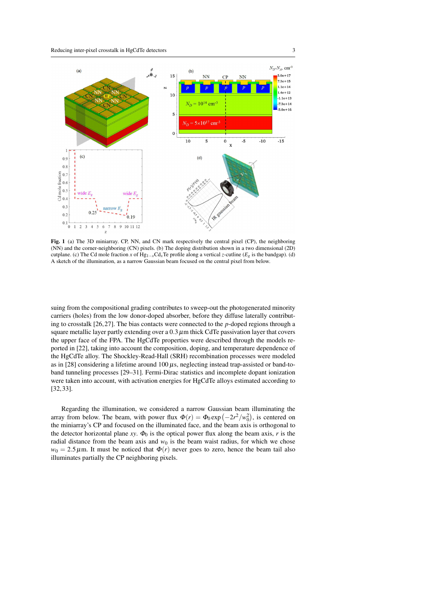

Fig. 1 (a) The 3D miniarray. CP, NN, and CN mark respectively the central pixel (CP), the neighboring (NN) and the corner-neighboring (CN) pixels. (b) The doping distribution shown in a two dimensional (2D) cutplane. (c) The Cd mole fraction *x* of Hg<sub>1−*x*</sub>Cd<sub>*x*</sub>Te profile along a vertical *z*-cutline ( $E_g$  is the bandgap). (d) A sketch of the illumination, as a narrow Gaussian beam focused on the central pixel from below.

suing from the compositional grading contributes to sweep-out the photogenerated minority carriers (holes) from the low donor-doped absorber, before they diffuse laterally contributing to crosstalk [26, 27]. The bias contacts were connected to the *p*-doped regions through a square metallic layer partly extending over a  $0.3 \mu$ m thick CdTe passivation layer that covers the upper face of the FPA. The HgCdTe properties were described through the models reported in [22], taking into account the composition, doping, and temperature dependence of the HgCdTe alloy. The Shockley-Read-Hall (SRH) recombination processes were modeled as in [28] considering a lifetime around  $100 \mu s$ , neglecting instead trap-assisted or band-toband tunneling processes [29–31]. Fermi-Dirac statistics and incomplete dopant ionization were taken into account, with activation energies for HgCdTe alloys estimated according to [32, 33].

Regarding the illumination, we considered a narrow Gaussian beam illuminating the array from below. The beam, with power flux  $\Phi(r) = \Phi_0 \exp(-2r^2/w_0^2)$ , is centered on the miniarray's CP and focused on the illuminated face, and the beam axis is orthogonal to the detector horizontal plane *xy*.  $\Phi_0$  is the optical power flux along the beam axis, *r* is the radial distance from the beam axis and  $w_0$  is the beam waist radius, for which we chose  $w_0 = 2.5 \mu$ m. It must be noticed that  $\Phi(r)$  never goes to zero, hence the beam tail also illuminates partially the CP neighboring pixels.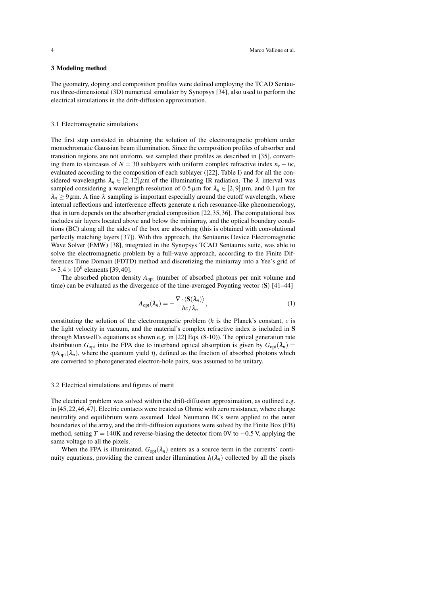### 3 Modeling method

The geometry, doping and composition profiles were defined employing the TCAD Sentaurus three-dimensional (3D) numerical simulator by Synopsys [34], also used to perform the electrical simulations in the drift-diffusion approximation.

#### 3.1 Electromagnetic simulations

The first step consisted in obtaining the solution of the electromagnetic problem under monochromatic Gaussian beam illumination. Since the composition profiles of absorber and transition regions are not uniform, we sampled their profiles as described in [35], converting them to staircases of  $N = 30$  sublayers with uniform complex refractive index  $n_r + i\kappa$ , evaluated according to the composition of each sublayer ([22], Table I) and for all the considered wavelengths  $\lambda_n \in [2, 12] \mu \text{m}$  of the illuminating IR radiation. The  $\lambda$  interval was sampled considering a wavelength resolution of  $0.5 \mu$ m for  $\lambda_n \in [2, 9] \mu$ m, and  $0.1 \mu$ m for  $\lambda_n \geq 9 \,\mu$ m. A fine  $\lambda$  sampling is important especially around the cutoff wavelength, where internal reflections and interference effects generate a rich resonance-like phenomenology, that in turn depends on the absorber graded composition [22, 35, 36]. The computational box includes air layers located above and below the miniarray, and the optical boundary conditions (BC) along all the sides of the box are absorbing (this is obtained with convolutional perfectly matching layers [37]). With this approach, the Sentaurus Device Electromagnetic Wave Solver (EMW) [38], integrated in the Synopsys TCAD Sentaurus suite, was able to solve the electromagnetic problem by a full-wave approach, according to the Finite Differences Time Domain (FDTD) method and discretizing the miniarray into a Yee's grid of  $\approx$  3.4  $\times$  10<sup>6</sup> elements [39, 40].

The absorbed photon density *A*opt (number of absorbed photons per unit volume and time) can be evaluated as the divergence of the time-averaged Poynting vector  $\langle S \rangle$  [41–44]

$$
A_{\rm opt}(\lambda_n) = -\frac{\nabla \cdot \langle \mathbf{S}(\lambda_n) \rangle}{hc/\lambda_n},\tag{1}
$$

constituting the solution of the electromagnetic problem (*h* is the Planck's constant, *c* is the light velocity in vacuum, and the material's complex refractive index is included in S through Maxwell's equations as shown e.g. in [22] Eqs. (8-10)). The optical generation rate distribution  $G_{\text{opt}}$  into the FPA due to interband optical absorption is given by  $G_{\text{opt}}(\lambda_n)$  $\eta A_{\text{opt}}(\lambda_n)$ , where the quantum yield  $\eta$ , defined as the fraction of absorbed photons which are converted to photogenerated electron-hole pairs, was assumed to be unitary.

#### 3.2 Electrical simulations and figures of merit

The electrical problem was solved within the drift-diffusion approximation, as outlined e.g. in [45, 22, 46, 47]. Electric contacts were treated as Ohmic with zero resistance, where charge neutrality and equilibrium were assumed. Ideal Neumann BCs were applied to the outer boundaries of the array, and the drift-diffusion equations were solved by the Finite Box (FB) method, setting  $T = 140K$  and reverse-biasing the detector from 0V to  $-0.5$  V, applying the same voltage to all the pixels.

When the FPA is illuminated,  $G_{opt}(\lambda_n)$  enters as a source term in the currents' continuity equations, providing the current under illumination  $I_i(\lambda_n)$  collected by all the pixels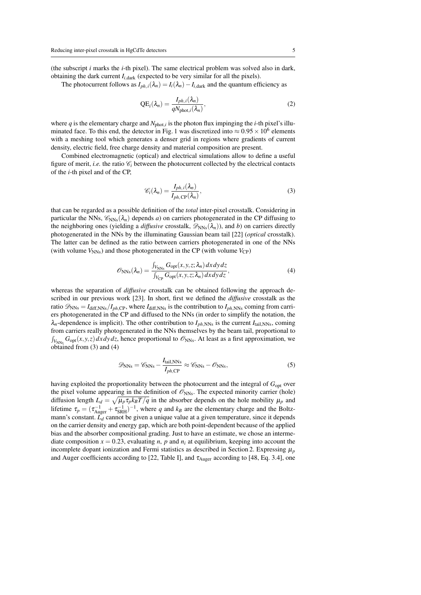(the subscript *i* marks the *i*-th pixel). The same electrical problem was solved also in dark, obtaining the dark current  $I_{i, \text{dark}}$  (expected to be very similar for all the pixels).

The photocurrent follows as  $I_{ph,i}(\lambda_n) = I_i(\lambda_n) - I_{i, \text{dark}}$  and the quantum efficiency as

$$
QE_i(\lambda_n) = \frac{I_{ph,i}(\lambda_n)}{qN_{\text{phot},i}(\lambda_n)},
$$
\n(2)

where  $q$  is the elementary charge and  $N_{phot,i}$  is the photon flux impinging the *i*-th pixel's illuminated face. To this end, the detector in Fig. 1 was discretized into  $\approx 0.95 \times 10^6$  elements with a meshing tool which generates a denser grid in regions where gradients of current density, electric field, free charge density and material composition are present.

Combined electromagnetic (optical) and electrical simulations allow to define a useful figure of merit, *i.e.* the ratio  $\mathcal{C}_i$  between the photocurrent collected by the electrical contacts of the *i*-th pixel and of the CP,

$$
\mathscr{C}_i(\lambda_n) = \frac{I_{ph,i}(\lambda_n)}{I_{ph,\text{CP}}(\lambda_n)},\tag{3}
$$

that can be regarded as a possible definition of the *total* inter-pixel crosstalk. Considering in particular the NNs,  $\mathcal{C}_{NNs}(\lambda_n)$  depends *a*) on carriers photogenerated in the CP diffusing to the neighboring ones (yielding a *diffusive* crosstalk,  $\mathscr{D}_{NNs}(\lambda_n)$ ), and *b*) on carriers directly photogenerated in the NNs by the illuminating Gaussian beam tail [22] (*optical* crosstalk). The latter can be defined as the ratio between carriers photogenerated in one of the NNs (with volume  $V_{NNs}$ ) and those photogenerated in the CP (with volume  $V_{CP}$ )

$$
\mathscr{O}_{\text{NNs}}(\lambda_n) = \frac{\int_{V_{\text{NNs}}} G_{\text{opt}}(x, y, z; \lambda_n) dx dy dz}{\int_{V_{\text{CP}}} G_{\text{opt}}(x, y, z; \lambda_n) dx dy dz},
$$
\n(4)

whereas the separation of *diffusive* crosstalk can be obtained following the approach described in our previous work [23]. In short, first we defined the *diffusive* crosstalk as the ratio  $\mathscr{D}_{NNs} = I_{diff,NNs}/I_{ph,CP}$ , where  $I_{diff,NNs}$  is the contribution to  $I_{ph,NNs}$  coming from carriers photogenerated in the CP and diffused to the NNs (in order to simplify the notation, the  $\lambda_n$ -dependence is implicit). The other contribution to  $I_{ph,NNs}$  is the current  $I_{tail,NNs}$ , coming from carriers really photogenerated in the NNs themselves by the beam tail, proportional to  $\int_{V_{NNs}} G_{opt}(x, y, z) dx dy dz$ , hence proportional to  $\mathcal{O}_{NNs}$ . At least as a first approximation, we obtained from (3) and (4)

$$
\mathcal{D}_{NNs} = \mathcal{C}_{NNs} - \frac{I_{tail,NNs}}{I_{ph,CP}} \approx \mathcal{C}_{NNs} - \mathcal{O}_{NNs},\tag{5}
$$

having exploited the proportionality between the photocurrent and the integral of *G*<sub>opt</sub> over the pixel volume appearing in the definition of  $\mathcal{O}_{NNs}$ . The expected minority carrier (hole) diffusion length  $L_d = \sqrt{\mu_p \tau_p k_B T/q}$  in the absorber depends on the hole mobility  $\mu_p$  and lifetime  $\tau_p = (\tau_{\text{Auger}}^{-1} + \tau_{\text{SRH}}^{-1})^{-1}$ , where *q* and *k<sub>B</sub>* are the elementary charge and the Boltzmann's constant.  $\overline{L}_d$  cannot be given a unique value at a given temperature, since it depends on the carrier density and energy gap, which are both point-dependent because of the applied bias and the absorber compositional grading. Just to have an estimate, we chose an intermediate composition  $x = 0.23$ , evaluating *n*, *p* and  $n_i$  at equilibrium, keeping into account the incomplete dopant ionization and Fermi statistics as described in Section 2. Expressing  $\mu_p$ and Auger coefficients according to [22, Table I], and  $\tau_{\text{Auger}}$  according to [48, Eq. 3.4], one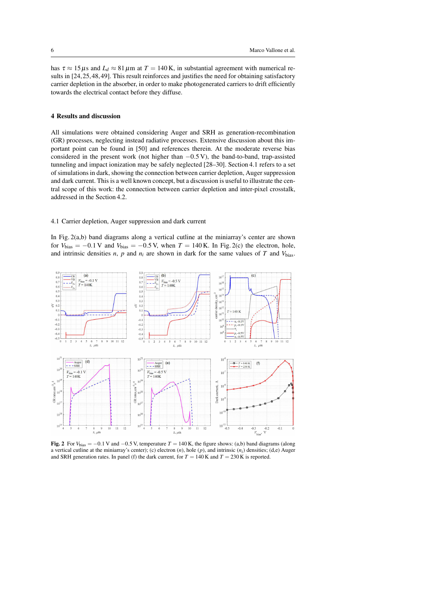has  $\tau \approx 15 \,\mu s$  and  $L_d \approx 81 \,\mu m$  at  $T = 140 \,\text{K}$ , in substantial agreement with numerical results in [24, 25, 48, 49]. This result reinforces and justifies the need for obtaining satisfactory carrier depletion in the absorber, in order to make photogenerated carriers to drift efficiently towards the electrical contact before they diffuse.

#### 4 Results and discussion

All simulations were obtained considering Auger and SRH as generation-recombination (GR) processes, neglecting instead radiative processes. Extensive discussion about this important point can be found in [50] and references therein. At the moderate reverse bias considered in the present work (not higher than  $-0.5$  V), the band-to-band, trap-assisted tunneling and impact ionization may be safely neglected [28–30]. Section 4.1 refers to a set of simulations in dark, showing the connection between carrier depletion, Auger suppression and dark current. This is a well known concept, but a discussion is useful to illustrate the central scope of this work: the connection between carrier depletion and inter-pixel crosstalk, addressed in the Section 4.2.

#### 4.1 Carrier depletion, Auger suppression and dark current

In Fig. 2(a,b) band diagrams along a vertical cutline at the miniarray's center are shown for  $V_{bias} = -0.1$  V and  $V_{bias} = -0.5$  V, when  $T = 140$  K. In Fig. 2(c) the electron, hole, and intrinsic densities *n*, *p* and  $n_i$  are shown in dark for the same values of *T* and  $V_{\text{bias}}$ .



Fig. 2 For  $V_{bias} = -0.1$  V and  $-0.5$  V, temperature  $T = 140$  K, the figure shows: (a,b) band diagrams (along a vertical cutline at the miniarray's center); (c) electron  $(n)$ , hole  $(p)$ , and intrinsic  $(n_i)$  densities; (d,e) Auger and SRH generation rates. In panel (f) the dark current, for  $T = 140$  K and  $T = 230$  K is reported.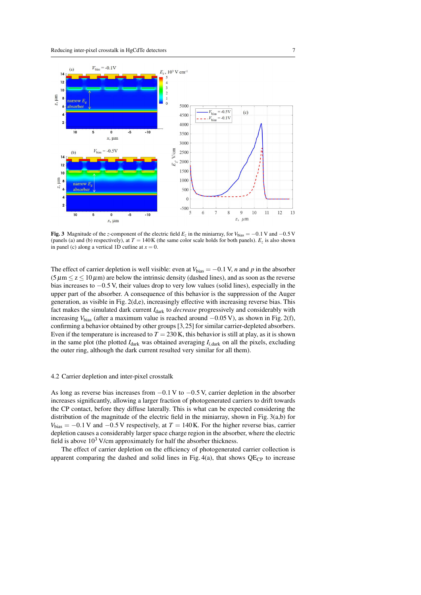

**Fig. 3** Magnitude of the *z*-component of the electric field  $E_z$  in the miniarray, for  $V_{bias} = -0.1$  V and  $-0.5$  V (panels (a) and (b) respectively), at  $T = 140K$  (the same color scale holds for both panels).  $E_z$  is also shown in panel (c) along a vertical 1D cutline at  $x = 0$ .

The effect of carrier depletion is well visible: even at  $V_{bias} = -0.1$  V, *n* and *p* in the absorber  $(5 \mu m \le z \le 10 \mu m)$  are below the intrinsic density (dashed lines), and as soon as the reverse bias increases to −0.5 V, their values drop to very low values (solid lines), especially in the upper part of the absorber. A consequence of this behavior is the suppression of the Auger generation, as visible in Fig. 2(d,e), increasingly effective with increasing reverse bias. This fact makes the simulated dark current  $I_{\text{dark}}$  to *decrease* progressively and considerably with increasing  $V_{bias}$  (after a maximum value is reached around  $-0.05$  V), as shown in Fig. 2(f), confirming a behavior obtained by other groups [3, 25] for similar carrier-depleted absorbers. Even if the temperature is increased to  $T = 230$  K, this behavior is still at play, as it is shown in the same plot (the plotted  $I_{\text{dark}}$  was obtained averaging  $I_{i,\text{dark}}$  on all the pixels, excluding the outer ring, although the dark current resulted very similar for all them).

#### 4.2 Carrier depletion and inter-pixel crosstalk

As long as reverse bias increases from  $-0.1$  V to  $-0.5$  V, carrier depletion in the absorber increases significantly, allowing a larger fraction of photogenerated carriers to drift towards the CP contact, before they diffuse laterally. This is what can be expected considering the distribution of the magnitude of the electric field in the miniarray, shown in Fig. 3(a,b) for  $V_{bias} = -0.1$  V and  $-0.5$  V respectively, at  $T = 140$  K. For the higher reverse bias, carrier depletion causes a considerably larger space charge region in the absorber, where the electric field is above  $10<sup>3</sup>$  V/cm approximately for half the absorber thickness.

The effect of carrier depletion on the efficiency of photogenerated carrier collection is apparent comparing the dashed and solid lines in Fig.  $4(a)$ , that shows  $QE<sub>CP</sub>$  to increase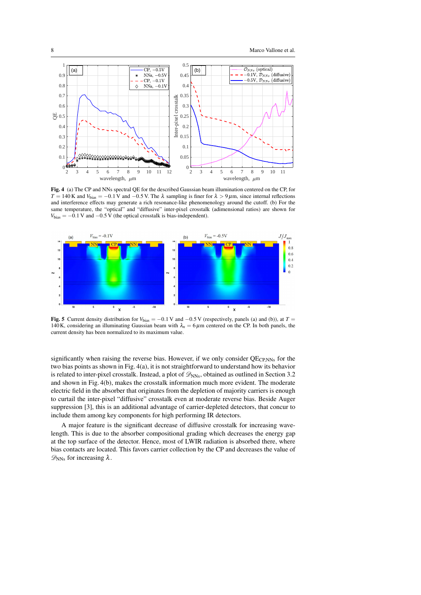

Fig. 4 (a) The CP and NNs spectral QE for the described Gaussian beam illumination centered on the CP, for  $T = 140$  K and  $V_{bias} = -0.1$  V and  $-0.5$  V. The  $\lambda$  sampling is finer for  $\lambda > 9 \mu$ m, since internal reflections and interference effects may generate a rich resonance-like phenomenology around the cutoff. (b) For the same temperature, the "optical" and "diffusive" inter-pixel crosstalk (adimensional ratios) are shown for  $V_{bias} = -0.1$  V and  $-0.5$  V (the optical crosstalk is bias-independent).



**Fig. 5** Current density distribution for  $V_{bias} = -0.1$  V and  $-0.5$  V (respectively, panels (a) and (b)), at  $T =$ 140K, considering an illuminating Gaussian beam with  $\lambda_n = 6 \mu m$  centered on the CP. In both panels, the current density has been normalized to its maximum value.

significantly when raising the reverse bias. However, if we only consider  $QE<sub>CPNNs</sub>$  for the two bias points as shown in Fig. 4(a), it is not straightforward to understand how its behavior is related to inter-pixel crosstalk. Instead, a plot of  $\mathscr{D}_{NNs}$ , obtained as outlined in Section 3.2 and shown in Fig. 4(b), makes the crosstalk information much more evident. The moderate electric field in the absorber that originates from the depletion of majority carriers is enough to curtail the inter-pixel "diffusive" crosstalk even at moderate reverse bias. Beside Auger suppression [3], this is an additional advantage of carrier-depleted detectors, that concur to include them among key components for high performing IR detectors.

A major feature is the significant decrease of diffusive crosstalk for increasing wavelength. This is due to the absorber compositional grading which decreases the energy gap at the top surface of the detector. Hence, most of LWIR radiation is absorbed there, where bias contacts are located. This favors carrier collection by the CP and decreases the value of  $\mathscr{D}_{NNs}$  for increasing  $\lambda$ .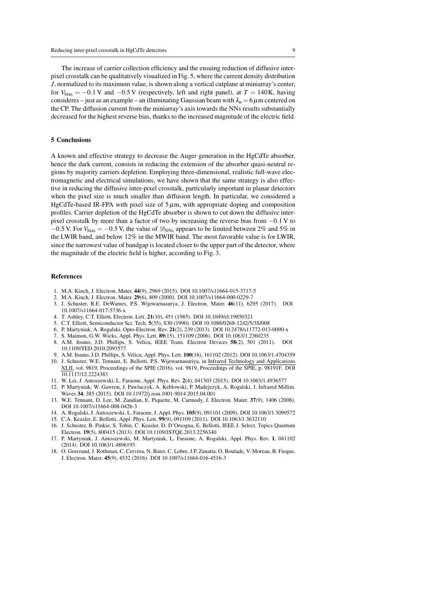The increase of carrier collection efficiency and the ensuing reduction of diffusive interpixel crosstalk can be qualitatively visualized in Fig. 5, where the current density distribution *J*, normalized to its maximum value, is shown along a vertical cutplane at miniarray's center, for  $V_{bias} = -0.1$  V and  $-0.5$  V (respectively, left and right panel), at  $T = 140$  K, having consideres – just as an example – an illuminating Gaussian beam with  $\lambda_n = 6 \,\mu$ m centered on the CP. The diffusion current from the miniarray's axis towards the NNs results substantially decreased for the highest reverse bias, thanks to the increased magnitude of the electric field.

#### 5 Conclusions

A known and effective strategy to decrease the Auger generation in the HgCdTe absorber, hence the dark current, consists in reducing the extension of the absorber quasi-neutral regions by majority carriers depletion. Employing three-dimensional, realistic full-wave electromagnetic and electrical simulations, we have shown that the same strategy is also effective in reducing the diffusive inter-pixel crosstalk, particularly important in planar detectors when the pixel size is much smaller than diffusion length. In particular, we considered a HgCdTe-based IR-FPA with pixel size of  $5\,\mu$ m, with appropriate doping and composition profiles. Carrier depletion of the HgCdTe absorber is shown to cut down the diffusive interpixel crosstalk by more than a factor of two by increasing the reverse bias from −0.1 V to  $-0.5$  V. For  $V_{bias} = -0.5$  V, the value of  $\mathscr{D}_{NNs}$  appears to be limited between 2% and 5% in the LWIR band, and below 12% in the MWIR band. The most favorable value is for LWIR, since the narrowest value of bandgap is located closer to the upper part of the detector, where the magnitude of the electric field is higher, according to Fig. 3.

#### References

- 1. M.A. Kinch, J. Electron. Mater. 44(9), 2969 (2015). DOI 10.1007/s11664-015-3717-5
- 2. M.A. Kinch, J. Electron. Mater. 29(6), 809 (2000). DOI 10.1007/s11664-000-0229-7
- 3. J. Schuster, R.E. DeWames, P.S. Wijewarnasurya, J. Electron. Mater. 46(11), 6295 (2017). DOI 10.1007/s11664-017-5736-x
- 4. T. Ashley, C.T. Elliott, Electron. Lett. 21(10), 451 (1985). DOI 10.1049/el:19850321
- 5. C.T. Elliott, Semiconductor Sci. Tech. 5(35), S30 (1990). DOI 10.1088/0268-1242/5/3S/008
- 6. P. Martyniuk, A. Rogalski, Opto-Electron. Rev. 21(2), 239 (2013). DOI 10.2478/s11772-013-0090-x
- 7. S. Maimon, G.W. Wicks, Appl. Phys. Lett. 89(15), 151109 (2006). DOI 10.1063/1.2360235
- 8. A.M. Itsuno, J.D. Phillips, S. Velicu, IEEE Trans. Electron Devices 58(2), 501 (2011). DOI 10.1109/TED.2010.2093577
- 9. A.M. Itsuno, J.D. Phillips, S. Velicu, Appl. Phys. Lett. 100(16), 161102 (2012). DOI 10.1063/1.4704359
- 10. J. Schuster, W.E. Tennant, E. Bellotti, P.S. Wijewarnasuriya, in Infrared Technology and Applications XLII, vol. 9819, Proceedings of the SPIE (2016), vol. 9819, Proceedings of the SPIE, p. 98191F. DOI 10.1117/12.2224383
- 11. W. Lei, J. Antoszewski, L. Faraone, Appl. Phys. Rev. 2(4), 041303 (2015). DOI 10.1063/1.4936577
- 12. P. Martyniuk, W. Gawron, J. Pawluczyk, A. Keblowski, P. Madejezyk, A. Rogalski, J. Infrared Millim. Waves 34, 385 (2015). DOI 10.11972/j.issn.1001-9014.2015.04.001
- 13. W.E. Tennant, D. Lee, M. Zandian, E. Piquette, M. Carmody, J. Electron. Mater. 37(9), 1406 (2008). DOI 10.1007/s11664-008-0426-3
- 14. A. Rogalski, J. Antoszewski, L. Faraone, J. Appl. Phys. 105(9), 091101 (2009). DOI 10.1063/1.3099572
- 15. C.A. Keasler, E. Bellotti, Appl. Phys. Lett. 99(9), 091109 (2011). DOI 10.1063/1.3632110
- 16. J. Schuster, B. Pinkie, S. Tobin, C. Keasler, D. D'Orsogna, E. Bellotti, IEEE J. Select. Topics Quantum Electron. 19(5), 800415 (2013). DOI 10.1109/JSTQE.2013.2256340
- 17. P. Martyniuk, J. Antoszewski, M. Martyniuk, L. Faraone, A. Rogalski, Appl. Phys. Rev. 1, 041102 (2014). DOI 10.1063/1.4896193
- 18. O. Gravrand, J. Rothman, C. Cervera, N. Baier, C. Lobre, J.P. Zanatta, O. Boulade, V. Moreau, B. Fieque, J. Electron. Mater. 45(9), 4532 (2016). DOI 10.1007/s11664-016-4516-3